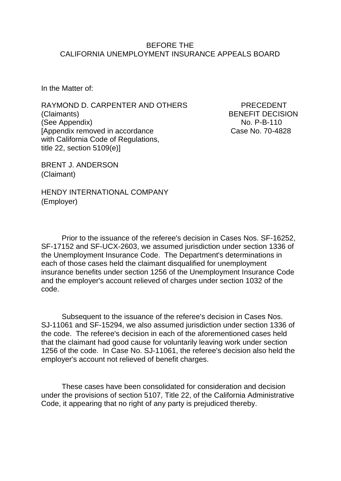### BEFORE THE CALIFORNIA UNEMPLOYMENT INSURANCE APPEALS BOARD

In the Matter of:

RAYMOND D. CARPENTER AND OTHERS PRECEDENT (Claimants) BENEFIT DECISION (See Appendix) No. P-B-110 [Appendix removed in accordance Case No. 70-4828 with California Code of Regulations, title 22, section 5109(e)]

BRENT J. ANDERSON (Claimant)

HENDY INTERNATIONAL COMPANY (Employer)

Prior to the issuance of the referee's decision in Cases Nos. SF-16252, SF-17152 and SF-UCX-2603, we assumed jurisdiction under section 1336 of the Unemployment Insurance Code. The Department's determinations in each of those cases held the claimant disqualified for unemployment insurance benefits under section 1256 of the Unemployment Insurance Code and the employer's account relieved of charges under section 1032 of the code.

Subsequent to the issuance of the referee's decision in Cases Nos. SJ-11061 and SF-15294, we also assumed jurisdiction under section 1336 of the code. The referee's decision in each of the aforementioned cases held that the claimant had good cause for voluntarily leaving work under section 1256 of the code. In Case No. SJ-11061, the referee's decision also held the employer's account not relieved of benefit charges.

These cases have been consolidated for consideration and decision under the provisions of section 5107, Title 22, of the California Administrative Code, it appearing that no right of any party is prejudiced thereby.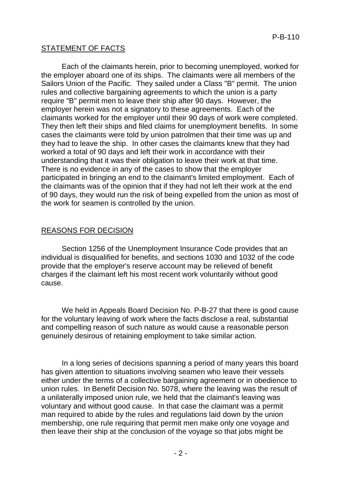## STATEMENT OF FACTS

Each of the claimants herein, prior to becoming unemployed, worked for the employer aboard one of its ships. The claimants were all members of the Sailors Union of the Pacific. They sailed under a Class "B" permit. The union rules and collective bargaining agreements to which the union is a party require "B" permit men to leave their ship after 90 days. However, the employer herein was not a signatory to these agreements. Each of the claimants worked for the employer until their 90 days of work were completed. They then left their ships and filed claims for unemployment benefits. In some cases the claimants were told by union patrolmen that their time was up and they had to leave the ship. In other cases the claimants knew that they had worked a total of 90 days and left their work in accordance with their understanding that it was their obligation to leave their work at that time. There is no evidence in any of the cases to show that the employer participated in bringing an end to the claimant's limited employment. Each of the claimants was of the opinion that if they had not left their work at the end of 90 days, they would run the risk of being expelled from the union as most of the work for seamen is controlled by the union.

## REASONS FOR DECISION

Section 1256 of the Unemployment Insurance Code provides that an individual is disqualified for benefits, and sections 1030 and 1032 of the code provide that the employer's reserve account may be relieved of benefit charges if the claimant left his most recent work voluntarily without good cause.

We held in Appeals Board Decision No. P-B-27 that there is good cause for the voluntary leaving of work where the facts disclose a real, substantial and compelling reason of such nature as would cause a reasonable person genuinely desirous of retaining employment to take similar action.

In a long series of decisions spanning a period of many years this board has given attention to situations involving seamen who leave their vessels either under the terms of a collective bargaining agreement or in obedience to union rules. In Benefit Decision No. 5078, where the leaving was the result of a unilaterally imposed union rule, we held that the claimant's leaving was voluntary and without good cause. In that case the claimant was a permit man required to abide by the rules and regulations laid down by the union membership, one rule requiring that permit men make only one voyage and then leave their ship at the conclusion of the voyage so that jobs might be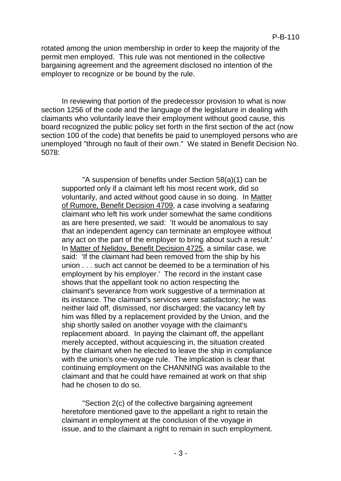rotated among the union membership in order to keep the majority of the permit men employed. This rule was not mentioned in the collective bargaining agreement and the agreement disclosed no intention of the employer to recognize or be bound by the rule.

In reviewing that portion of the predecessor provision to what is now section 1256 of the code and the language of the legislature in dealing with claimants who voluntarily leave their employment without good cause, this board recognized the public policy set forth in the first section of the act (now section 100 of the code) that benefits be paid to unemployed persons who are unemployed "through no fault of their own." We stated in Benefit Decision No. 5078:

"A suspension of benefits under Section 58(a)(1) can be supported only if a claimant left his most recent work, did so voluntarily, and acted without good cause in so doing. In Matter of Rumore, Benefit Decision 4709, a case involving a seafaring claimant who left his work under somewhat the same conditions as are here presented, we said: 'It would be anomalous to say that an independent agency can terminate an employee without any act on the part of the employer to bring about such a result.' In Matter of Nelidov, Benefit Decision 4725, a similar case, we said: 'If the claimant had been removed from the ship by his union . . . such act cannot be deemed to be a termination of his employment by his employer.' The record in the instant case shows that the appellant took no action respecting the claimant's severance from work suggestive of a termination at its instance. The claimant's services were satisfactory; he was neither laid off, dismissed, nor discharged; the vacancy left by him was filled by a replacement provided by the Union, and the ship shortly sailed on another voyage with the claimant's replacement aboard. In paying the claimant off, the appellant merely accepted, without acquiescing in, the situation created by the claimant when he elected to leave the ship in compliance with the union's one-voyage rule. The implication is clear that continuing employment on the CHANNING was available to the claimant and that he could have remained at work on that ship had he chosen to do so.

"Section 2(c) of the collective bargaining agreement heretofore mentioned gave to the appellant a right to retain the claimant in employment at the conclusion of the voyage in issue, and to the claimant a right to remain in such employment.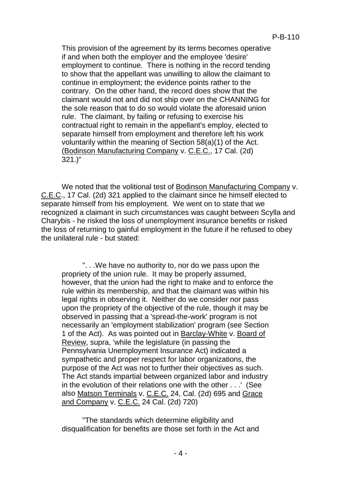This provision of the agreement by its terms becomes operative if and when both the employer and the employee 'desire' employment to continue. There is nothing in the record tending to show that the appellant was unwilling to allow the claimant to continue in employment; the evidence points rather to the contrary. On the other hand, the record does show that the claimant would not and did not ship over on the CHANNING for the sole reason that to do so would violate the aforesaid union rule. The claimant, by failing or refusing to exercise his contractual right to remain in the appellant's employ, elected to separate himself from employment and therefore left his work voluntarily within the meaning of Section 58(a)(1) of the Act. (Bodinson Manufacturing Company v. C.E.C., 17 Cal. (2d) 321.)"

We noted that the volitional test of Bodinson Manufacturing Company v. C.E.C., 17 Cal. (2d) 321 applied to the claimant since he himself elected to separate himself from his employment. We went on to state that we recognized a claimant in such circumstances was caught between Scylla and Charybis - he risked the loss of unemployment insurance benefits or risked the loss of returning to gainful employment in the future if he refused to obey the unilateral rule - but stated:

". . .We have no authority to, nor do we pass upon the propriety of the union rule. It may be properly assumed, however, that the union had the right to make and to enforce the rule within its membership, and that the claimant was within his legal rights in observing it. Neither do we consider nor pass upon the propriety of the objective of the rule, though it may be observed in passing that a 'spread-the-work' program is not necessarily an 'employment stabilization' program (see Section 1 of the Act). As was pointed out in Barclay-White v. Board of Review, supra, 'while the legislature (in passing the Pennsylvania Unemployment Insurance Act) indicated a sympathetic and proper respect for labor organizations, the purpose of the Act was not to further their objectives as such. The Act stands impartial between organized labor and industry in the evolution of their relations one with the other . . .' (See also Matson Terminals v. C.E.C. 24, Cal. (2d) 695 and Grace and Company v. C.E.C. 24 Cal. (2d) 720)

"The standards which determine eligibility and disqualification for benefits are those set forth in the Act and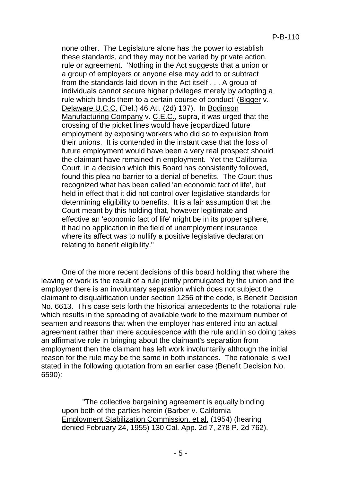none other. The Legislature alone has the power to establish these standards, and they may not be varied by private action, rule or agreement. 'Nothing in the Act suggests that a union or a group of employers or anyone else may add to or subtract from the standards laid down in the Act itself . . . A group of individuals cannot secure higher privileges merely by adopting a rule which binds them to a certain course of conduct' (Bigger v. Delaware U.C.C. (Del.) 46 Atl. (2d) 137). In Bodinson Manufacturing Company v. C.E.C., supra, it was urged that the crossing of the picket lines would have jeopardized future employment by exposing workers who did so to expulsion from their unions. It is contended in the instant case that the loss of future employment would have been a very real prospect should the claimant have remained in employment. Yet the California Court, in a decision which this Board has consistently followed, found this plea no barrier to a denial of benefits. The Court thus recognized what has been called 'an economic fact of life', but held in effect that it did not control over legislative standards for determining eligibility to benefits. It is a fair assumption that the Court meant by this holding that, however legitimate and effective an 'economic fact of life' might be in its proper sphere, it had no application in the field of unemployment insurance where its affect was to nullify a positive legislative declaration relating to benefit eligibility."

One of the more recent decisions of this board holding that where the leaving of work is the result of a rule jointly promulgated by the union and the employer there is an involuntary separation which does not subject the claimant to disqualification under section 1256 of the code, is Benefit Decision No. 6613. This case sets forth the historical antecedents to the rotational rule which results in the spreading of available work to the maximum number of seamen and reasons that when the employer has entered into an actual agreement rather than mere acquiescence with the rule and in so doing takes an affirmative role in bringing about the claimant's separation from employment then the claimant has left work involuntarily although the initial reason for the rule may be the same in both instances. The rationale is well stated in the following quotation from an earlier case (Benefit Decision No. 6590):

"The collective bargaining agreement is equally binding upon both of the parties herein (Barber v. California Employment Stabilization Commission, et al. (1954) (hearing denied February 24, 1955) 130 Cal. App. 2d 7, 278 P. 2d 762).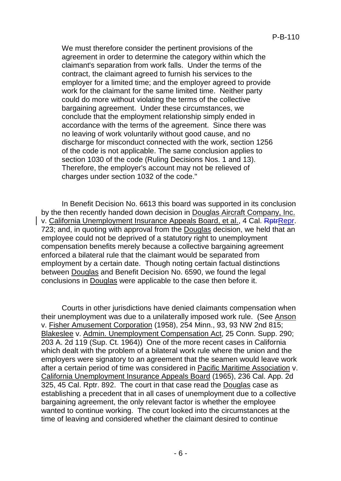We must therefore consider the pertinent provisions of the agreement in order to determine the category within which the claimant's separation from work falls. Under the terms of the contract, the claimant agreed to furnish his services to the employer for a limited time; and the employer agreed to provide work for the claimant for the same limited time. Neither party could do more without violating the terms of the collective bargaining agreement. Under these circumstances, we conclude that the employment relationship simply ended in accordance with the terms of the agreement. Since there was no leaving of work voluntarily without good cause, and no discharge for misconduct connected with the work, section 1256 of the code is not applicable. The same conclusion applies to section 1030 of the code (Ruling Decisions Nos. 1 and 13). Therefore, the employer's account may not be relieved of charges under section 1032 of the code."

In Benefit Decision No. 6613 this board was supported in its conclusion by the then recently handed down decision in Douglas Aircraft Company, Inc. v. California Unemployment Insurance Appeals Board, et al., 4 Cal. RetrRepr. 723; and, in quoting with approval from the Douglas decision, we held that an employee could not be deprived of a statutory right to unemployment compensation benefits merely because a collective bargaining agreement enforced a bilateral rule that the claimant would be separated from employment by a certain date. Though noting certain factual distinctions between Douglas and Benefit Decision No. 6590, we found the legal conclusions in Douglas were applicable to the case then before it.

Courts in other jurisdictions have denied claimants compensation when their unemployment was due to a unilaterally imposed work rule. (See Anson v. Fisher Amusement Corporation (1958), 254 Minn., 93, 93 NW 2nd 815; Blakeslee v. Admin. Unemployment Compensation Act, 25 Conn. Supp. 290; 203 A. 2d 119 (Sup. Ct. 1964)) One of the more recent cases in California which dealt with the problem of a bilateral work rule where the union and the employers were signatory to an agreement that the seamen would leave work after a certain period of time was considered in Pacific Maritime Association v. California Unemployment Insurance Appeals Board (1965), 236 Cal. App. 2d 325, 45 Cal. Rptr. 892. The court in that case read the Douglas case as establishing a precedent that in all cases of unemployment due to a collective bargaining agreement, the only relevant factor is whether the employee wanted to continue working. The court looked into the circumstances at the time of leaving and considered whether the claimant desired to continue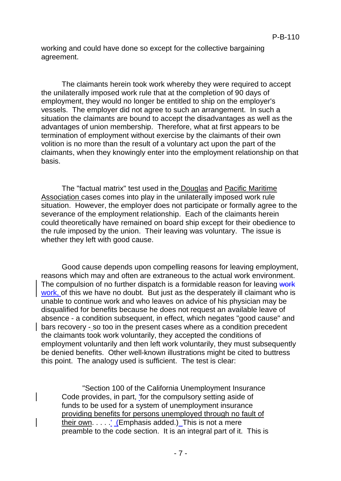working and could have done so except for the collective bargaining agreement.

The claimants herein took work whereby they were required to accept the unilaterally imposed work rule that at the completion of 90 days of employment, they would no longer be entitled to ship on the employer's vessels. The employer did not agree to such an arrangement. In such a situation the claimants are bound to accept the disadvantages as well as the advantages of union membership. Therefore, what at first appears to be termination of employment without exercise by the claimants of their own volition is no more than the result of a voluntary act upon the part of the claimants, when they knowingly enter into the employment relationship on that basis.

The "factual matrix" test used in the Douglas and Pacific Maritime Association cases comes into play in the unilaterally imposed work rule situation. However, the employer does not participate or formally agree to the severance of the employment relationship. Each of the claimants herein could theoretically have remained on board ship except for their obedience to the rule imposed by the union. Their leaving was voluntary. The issue is whether they left with good cause.

Good cause depends upon compelling reasons for leaving employment, reasons which may and often are extraneous to the actual work environment. The compulsion of no further dispatch is a formidable reason for leaving work work, of this we have no doubt. But just as the desperately ill claimant who is unable to continue work and who leaves on advice of his physician may be disqualified for benefits because he does not request an available leave of absence - a condition subsequent, in effect, which negates "good cause" and bars recovery - so too in the present cases where as a condition precedent the claimants took work voluntarily, they accepted the conditions of employment voluntarily and then left work voluntarily, they must subsequently be denied benefits. Other well-known illustrations might be cited to buttress this point. The analogy used is sufficient. The test is clear:

"Section 100 of the California Unemployment Insurance Code provides, in part, 'for the compulsory setting aside of funds to be used for a system of unemployment insurance providing benefits for persons unemployed through no fault of their own. . . . .' (Emphasis added.) This is not a mere preamble to the code section. It is an integral part of it. This is